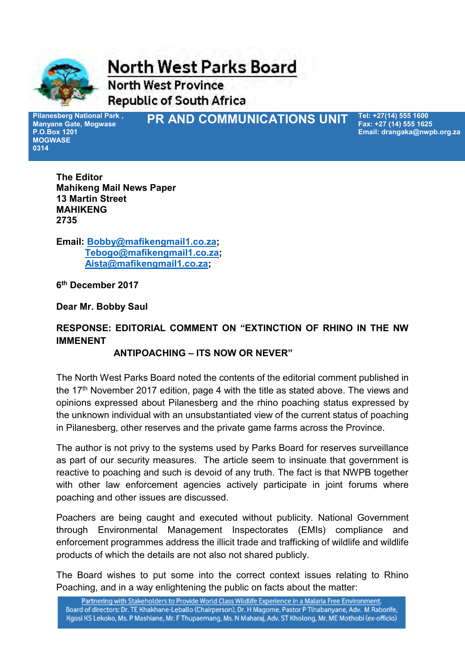

**North West Parks Board** 

**North West Province Republic of South Africa** 

**Pilanesberg National Park , Manyane Gate, Mogwase P.O.Box 1201 MOGWASE 0314**

**PR AND COMMUNICATIONS UNIT** *Tel: +27(14) 555 1600* 

**Fax: +27 (14) 555 1625 Email: drangaka@nwpb.org.za**

**The Editor Mahikeng Mail News Paper 13 Martin Street MAHIKENG 2735** 

**Email: [Bobby@mafikengmail1.co.za;](mailto:Bobby@mafikengmail1.co.za) [Tebogo@mafikengmail1.co.za;](mailto:Tebogo@mafikengmail1.co.za) [Aista@mafikengmail1.co.za;](mailto:Aista@mafikengmail1.co.za)** 

**6 th December 2017** 

**Dear Mr. Bobby Saul** 

## **RESPONSE: EDITORIAL COMMENT ON "EXTINCTION OF RHINO IN THE NW IMMENENT**

## **ANTIPOACHING – ITS NOW OR NEVER"**

The North West Parks Board noted the contents of the editorial comment published in the 17<sup>th</sup> November 2017 edition, page 4 with the title as stated above. The views and opinions expressed about Pilanesberg and the rhino poaching status expressed by the unknown individual with an unsubstantiated view of the current status of poaching in Pilanesberg, other reserves and the private game farms across the Province.

The author is not privy to the systems used by Parks Board for reserves surveillance as part of our security measures. The article seem to insinuate that government is reactive to poaching and such is devoid of any truth. The fact is that NWPB together with other law enforcement agencies actively participate in joint forums where poaching and other issues are discussed.

Poachers are being caught and executed without publicity. National Government through Environmental Management Inspectorates (EMIs) compliance and enforcement programmes address the illicit trade and trafficking of wildlife and wildlife products of which the details are not also not shared publicly.

The Board wishes to put some into the correct context issues relating to Rhino Poaching, and in a way enlightening the public on facts about the matter: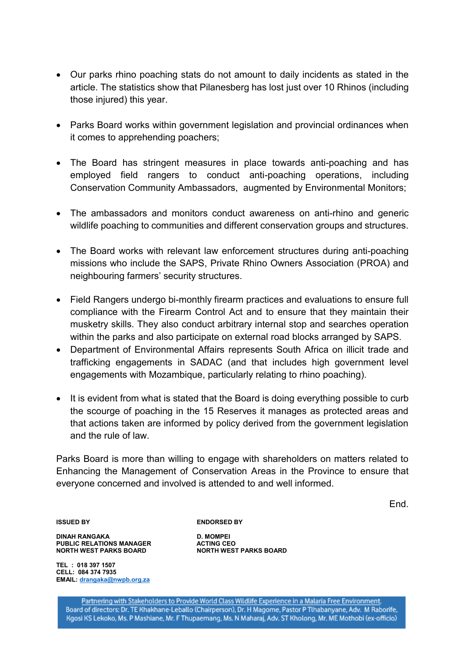- Our parks rhino poaching stats do not amount to daily incidents as stated in the article. The statistics show that Pilanesberg has lost just over 10 Rhinos (including those injured) this year.
- Parks Board works within government legislation and provincial ordinances when it comes to apprehending poachers;
- The Board has stringent measures in place towards anti-poaching and has employed field rangers to conduct anti-poaching operations, including Conservation Community Ambassadors, augmented by Environmental Monitors;
- The ambassadors and monitors conduct awareness on anti-rhino and generic wildlife poaching to communities and different conservation groups and structures.
- The Board works with relevant law enforcement structures during anti-poaching missions who include the SAPS, Private Rhino Owners Association (PROA) and neighbouring farmers' security structures.
- Field Rangers undergo bi-monthly firearm practices and evaluations to ensure full compliance with the Firearm Control Act and to ensure that they maintain their musketry skills. They also conduct arbitrary internal stop and searches operation within the parks and also participate on external road blocks arranged by SAPS.
- Department of Environmental Affairs represents South Africa on illicit trade and trafficking engagements in SADAC (and that includes high government level engagements with Mozambique, particularly relating to rhino poaching).
- It is evident from what is stated that the Board is doing everything possible to curb the scourge of poaching in the 15 Reserves it manages as protected areas and that actions taken are informed by policy derived from the government legislation and the rule of law.

Parks Board is more than willing to engage with shareholders on matters related to Enhancing the Management of Conservation Areas in the Province to ensure that everyone concerned and involved is attended to and well informed.

End.

**ISSUED BY ENDORSED BY** 

**DINAH RANGAKA D. MOMPEI PUBLIC RELATIONS MANAGER ACTING CEO NORTH WEST PARKS BOARD NORTH WEST PARKS BOARD** 

**TEL : 018 397 1507 CELL: 084 374 7935 EMAIL: [drangaka@nwpb.org.za](mailto:drangaka@nwpb.org.za)**